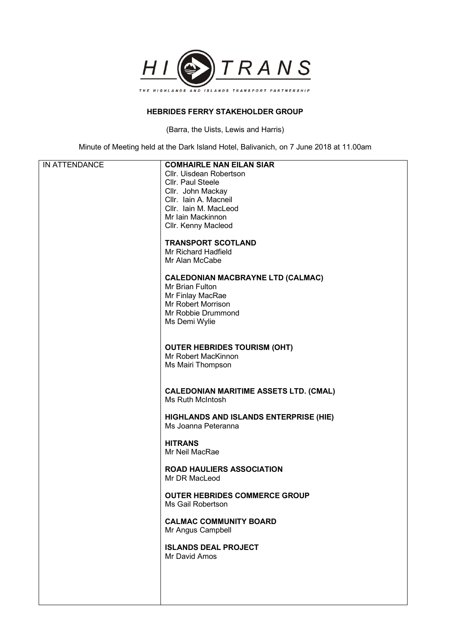

## **HEBRIDES FERRY STAKEHOLDER GROUP**

(Barra, the Uists, Lewis and Harris)

Minute of Meeting held at the Dark Island Hotel, Balivanich, on 7 June 2018 at 11.00am

| IN ATTENDANCE | <b>COMHAIRLE NAN EILAN SIAR</b>               |
|---------------|-----------------------------------------------|
|               | Cllr. Uisdean Robertson                       |
|               | <b>Cllr. Paul Steele</b>                      |
|               |                                               |
|               | Cllr. John Mackay                             |
|               | Cllr. Iain A. Macneil                         |
|               | Cllr. Iain M. MacLeod                         |
|               | Mr Iain Mackinnon                             |
|               | Cllr. Kenny Macleod                           |
|               |                                               |
|               |                                               |
|               | <b>TRANSPORT SCOTLAND</b>                     |
|               | Mr Richard Hadfield                           |
|               | Mr Alan McCabe                                |
|               |                                               |
|               | <b>CALEDONIAN MACBRAYNE LTD (CALMAC)</b>      |
|               | Mr Brian Fulton                               |
|               | Mr Finlay MacRae                              |
|               | Mr Robert Morrison                            |
|               |                                               |
|               | Mr Robbie Drummond                            |
|               | Ms Demi Wylie                                 |
|               |                                               |
|               |                                               |
|               | <b>OUTER HEBRIDES TOURISM (OHT)</b>           |
|               | Mr Robert MacKinnon                           |
|               | Ms Mairi Thompson                             |
|               |                                               |
|               |                                               |
|               |                                               |
|               | <b>CALEDONIAN MARITIME ASSETS LTD. (CMAL)</b> |
|               | Ms Ruth McIntosh                              |
|               |                                               |
|               | <b>HIGHLANDS AND ISLANDS ENTERPRISE (HIE)</b> |
|               | Ms Joanna Peteranna                           |
|               |                                               |
|               | <b>HITRANS</b>                                |
|               | Mr Neil MacRae                                |
|               |                                               |
|               |                                               |
|               | <b>ROAD HAULIERS ASSOCIATION</b>              |
|               | Mr DR MacLeod                                 |
|               |                                               |
|               | <b>OUTER HEBRIDES COMMERCE GROUP</b>          |
|               | Ms Gail Robertson                             |
|               |                                               |
|               | <b>CALMAC COMMUNITY BOARD</b>                 |
|               | Mr Angus Campbell                             |
|               |                                               |
|               | <b>ISLANDS DEAL PROJECT</b>                   |
|               |                                               |
|               | Mr David Amos                                 |
|               |                                               |
|               |                                               |
|               |                                               |
|               |                                               |
|               |                                               |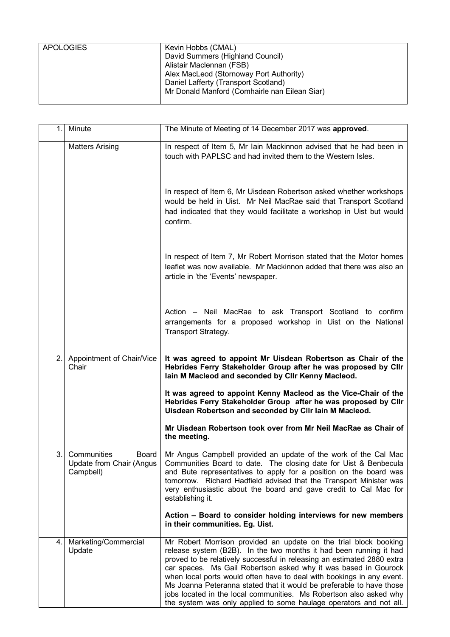| <b>APOLOGIES</b> | Kevin Hobbs (CMAL)                            |
|------------------|-----------------------------------------------|
|                  | David Summers (Highland Council)              |
|                  | Alistair Maclennan (FSB)                      |
|                  | Alex MacLeod (Stornoway Port Authority)       |
|                  | Daniel Lafferty (Transport Scotland)          |
|                  | Mr Donald Manford (Comhairle nan Eilean Siar) |
|                  |                                               |

| 1.             | Minute                                                          | The Minute of Meeting of 14 December 2017 was approved.                                                                                                                                                                                                                                                                                                                                                                                                                                                                                                                           |
|----------------|-----------------------------------------------------------------|-----------------------------------------------------------------------------------------------------------------------------------------------------------------------------------------------------------------------------------------------------------------------------------------------------------------------------------------------------------------------------------------------------------------------------------------------------------------------------------------------------------------------------------------------------------------------------------|
|                | <b>Matters Arising</b>                                          | In respect of Item 5, Mr Iain Mackinnon advised that he had been in<br>touch with PAPLSC and had invited them to the Western Isles.                                                                                                                                                                                                                                                                                                                                                                                                                                               |
|                |                                                                 | In respect of Item 6, Mr Uisdean Robertson asked whether workshops<br>would be held in Uist. Mr Neil MacRae said that Transport Scotland<br>had indicated that they would facilitate a workshop in Uist but would<br>confirm.                                                                                                                                                                                                                                                                                                                                                     |
|                |                                                                 | In respect of Item 7, Mr Robert Morrison stated that the Motor homes<br>leaflet was now available. Mr Mackinnon added that there was also an<br>article in 'the 'Events' newspaper.                                                                                                                                                                                                                                                                                                                                                                                               |
|                |                                                                 | Action - Neil MacRae to ask Transport Scotland to confirm<br>arrangements for a proposed workshop in Uist on the National<br>Transport Strategy.                                                                                                                                                                                                                                                                                                                                                                                                                                  |
| $\overline{2}$ | Appointment of Chair/Vice<br>Chair                              | It was agreed to appoint Mr Uisdean Robertson as Chair of the<br>Hebrides Ferry Stakeholder Group after he was proposed by Cllr<br>lain M Macleod and seconded by CIIr Kenny Macleod.                                                                                                                                                                                                                                                                                                                                                                                             |
|                |                                                                 | It was agreed to appoint Kenny Macleod as the Vice-Chair of the<br>Hebrides Ferry Stakeholder Group after he was proposed by Cllr<br>Uisdean Robertson and seconded by Cllr lain M Macleod.                                                                                                                                                                                                                                                                                                                                                                                       |
|                |                                                                 | Mr Uisdean Robertson took over from Mr Neil MacRae as Chair of<br>the meeting.                                                                                                                                                                                                                                                                                                                                                                                                                                                                                                    |
| 3.             | Communities<br>Board  <br>Update from Chair (Angus<br>Campbell) | Mr Angus Campbell provided an update of the work of the Cal Mac<br>Communities Board to date. The closing date for Uist & Benbecula<br>and Bute representatives to apply for a position on the board was<br>tomorrow. Richard Hadfield advised that the Transport Minister was<br>very enthusiastic about the board and gave credit to Cal Mac for<br>establishing it.                                                                                                                                                                                                            |
|                |                                                                 | Action - Board to consider holding interviews for new members<br>in their communities. Eg. Uist.                                                                                                                                                                                                                                                                                                                                                                                                                                                                                  |
| 4.             | Marketing/Commercial<br>Update                                  | Mr Robert Morrison provided an update on the trial block booking<br>release system (B2B). In the two months it had been running it had<br>proved to be relatively successful in releasing an estimated 2880 extra<br>car spaces. Ms Gail Robertson asked why it was based in Gourock<br>when local ports would often have to deal with bookings in any event.<br>Ms Joanna Peteranna stated that it would be preferable to have those<br>jobs located in the local communities. Ms Robertson also asked why<br>the system was only applied to some haulage operators and not all. |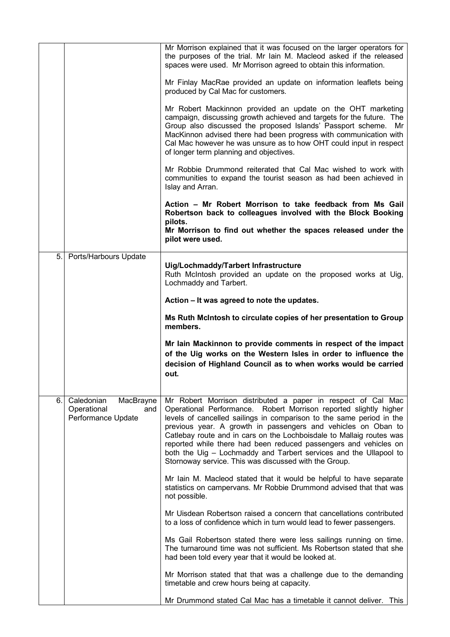|    |                                                                     | Mr Morrison explained that it was focused on the larger operators for<br>the purposes of the trial. Mr Iain M. Macleod asked if the released<br>spaces were used. Mr Morrison agreed to obtain this information.                                                                                                                                                                                                                                                                                                                                     |
|----|---------------------------------------------------------------------|------------------------------------------------------------------------------------------------------------------------------------------------------------------------------------------------------------------------------------------------------------------------------------------------------------------------------------------------------------------------------------------------------------------------------------------------------------------------------------------------------------------------------------------------------|
|    |                                                                     | Mr Finlay MacRae provided an update on information leaflets being<br>produced by Cal Mac for customers.                                                                                                                                                                                                                                                                                                                                                                                                                                              |
|    |                                                                     | Mr Robert Mackinnon provided an update on the OHT marketing<br>campaign, discussing growth achieved and targets for the future. The<br>Group also discussed the proposed Islands' Passport scheme.<br>Mr<br>MacKinnon advised there had been progress with communication with<br>Cal Mac however he was unsure as to how OHT could input in respect<br>of longer term planning and objectives.                                                                                                                                                       |
|    |                                                                     | Mr Robbie Drummond reiterated that Cal Mac wished to work with<br>communities to expand the tourist season as had been achieved in<br>Islay and Arran.                                                                                                                                                                                                                                                                                                                                                                                               |
|    |                                                                     | Action - Mr Robert Morrison to take feedback from Ms Gail<br>Robertson back to colleagues involved with the Block Booking<br>pilots.<br>Mr Morrison to find out whether the spaces released under the<br>pilot were used.                                                                                                                                                                                                                                                                                                                            |
|    |                                                                     |                                                                                                                                                                                                                                                                                                                                                                                                                                                                                                                                                      |
| 5. | Ports/Harbours Update                                               | Uig/Lochmaddy/Tarbert Infrastructure<br>Ruth McIntosh provided an update on the proposed works at Uig,<br>Lochmaddy and Tarbert.                                                                                                                                                                                                                                                                                                                                                                                                                     |
|    |                                                                     | Action – It was agreed to note the updates.                                                                                                                                                                                                                                                                                                                                                                                                                                                                                                          |
|    |                                                                     | Ms Ruth McIntosh to circulate copies of her presentation to Group<br>members.                                                                                                                                                                                                                                                                                                                                                                                                                                                                        |
|    |                                                                     | Mr Iain Mackinnon to provide comments in respect of the impact<br>of the Uig works on the Western Isles in order to influence the<br>decision of Highland Council as to when works would be carried<br>out.                                                                                                                                                                                                                                                                                                                                          |
| 6. | Caledonian<br>MacBrayne<br>Operational<br>and<br>Performance Update | Mr Robert Morrison distributed a paper in respect of Cal Mac<br>Operational Performance. Robert Morrison reported slightly higher<br>levels of cancelled sailings in comparison to the same period in the<br>previous year. A growth in passengers and vehicles on Oban to<br>Catlebay route and in cars on the Lochboisdale to Mallaig routes was<br>reported while there had been reduced passengers and vehicles on<br>both the Uig - Lochmaddy and Tarbert services and the Ullapool to<br>Stornoway service. This was discussed with the Group. |
|    |                                                                     | Mr Iain M. Macleod stated that it would be helpful to have separate<br>statistics on campervans. Mr Robbie Drummond advised that that was<br>not possible.                                                                                                                                                                                                                                                                                                                                                                                           |
|    |                                                                     | Mr Uisdean Robertson raised a concern that cancellations contributed<br>to a loss of confidence which in turn would lead to fewer passengers.                                                                                                                                                                                                                                                                                                                                                                                                        |
|    |                                                                     | Ms Gail Robertson stated there were less sailings running on time.<br>The turnaround time was not sufficient. Ms Robertson stated that she<br>had been told every year that it would be looked at.                                                                                                                                                                                                                                                                                                                                                   |
|    |                                                                     | Mr Morrison stated that that was a challenge due to the demanding<br>timetable and crew hours being at capacity.                                                                                                                                                                                                                                                                                                                                                                                                                                     |
|    |                                                                     | Mr Drummond stated Cal Mac has a timetable it cannot deliver. This                                                                                                                                                                                                                                                                                                                                                                                                                                                                                   |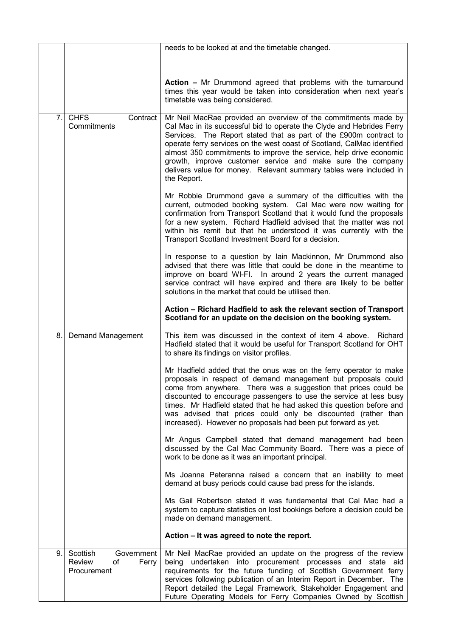|    |                                                                | needs to be looked at and the timetable changed.                                                                                                                                                                                                                                                                                                                                                                                                                                                                 |
|----|----------------------------------------------------------------|------------------------------------------------------------------------------------------------------------------------------------------------------------------------------------------------------------------------------------------------------------------------------------------------------------------------------------------------------------------------------------------------------------------------------------------------------------------------------------------------------------------|
|    |                                                                |                                                                                                                                                                                                                                                                                                                                                                                                                                                                                                                  |
|    |                                                                | Action - Mr Drummond agreed that problems with the turnaround<br>times this year would be taken into consideration when next year's<br>timetable was being considered.                                                                                                                                                                                                                                                                                                                                           |
| 7. | <b>CHFS</b><br>Contract  <br>Commitments                       | Mr Neil MacRae provided an overview of the commitments made by<br>Cal Mac in its successful bid to operate the Clyde and Hebrides Ferry<br>Services. The Report stated that as part of the £900m contract to<br>operate ferry services on the west coast of Scotland, CalMac identified<br>almost 350 commitments to improve the service, help drive economic<br>growth, improve customer service and make sure the company<br>delivers value for money. Relevant summary tables were included in<br>the Report. |
|    |                                                                | Mr Robbie Drummond gave a summary of the difficulties with the<br>current, outmoded booking system. Cal Mac were now waiting for<br>confirmation from Transport Scotland that it would fund the proposals<br>for a new system. Richard Hadfield advised that the matter was not<br>within his remit but that he understood it was currently with the<br>Transport Scotland Investment Board for a decision.                                                                                                      |
|    |                                                                | In response to a question by Iain Mackinnon, Mr Drummond also<br>advised that there was little that could be done in the meantime to<br>improve on board WI-FI. In around 2 years the current managed<br>service contract will have expired and there are likely to be better<br>solutions in the market that could be utilised then.                                                                                                                                                                            |
|    |                                                                | Action - Richard Hadfield to ask the relevant section of Transport<br>Scotland for an update on the decision on the booking system.                                                                                                                                                                                                                                                                                                                                                                              |
| 8. | <b>Demand Management</b>                                       | This item was discussed in the context of item 4 above.<br>Richard<br>Hadfield stated that it would be useful for Transport Scotland for OHT<br>to share its findings on visitor profiles.                                                                                                                                                                                                                                                                                                                       |
|    |                                                                | Mr Hadfield added that the onus was on the ferry operator to make<br>proposals in respect of demand management but proposals could<br>come from anywhere. There was a suggestion that prices could be<br>discounted to encourage passengers to use the service at less busy<br>times. Mr Hadfield stated that he had asked this question before and<br>was advised that prices could only be discounted (rather than<br>increased). However no proposals had been put forward as yet.                            |
|    |                                                                | Mr Angus Campbell stated that demand management had been<br>discussed by the Cal Mac Community Board. There was a piece of<br>work to be done as it was an important principal.                                                                                                                                                                                                                                                                                                                                  |
|    |                                                                | Ms Joanna Peteranna raised a concern that an inability to meet<br>demand at busy periods could cause bad press for the islands.                                                                                                                                                                                                                                                                                                                                                                                  |
|    |                                                                | Ms Gail Robertson stated it was fundamental that Cal Mac had a<br>system to capture statistics on lost bookings before a decision could be<br>made on demand management.                                                                                                                                                                                                                                                                                                                                         |
|    |                                                                | Action - It was agreed to note the report.                                                                                                                                                                                                                                                                                                                                                                                                                                                                       |
| 9. | Scottish<br>Government<br>Review<br>of<br>Ferry<br>Procurement | Mr Neil MacRae provided an update on the progress of the review<br>being undertaken into procurement processes and state aid<br>requirements for the future funding of Scottish Government ferry<br>services following publication of an Interim Report in December. The<br>Report detailed the Legal Framework, Stakeholder Engagement and<br>Future Operating Models for Ferry Companies Owned by Scottish                                                                                                     |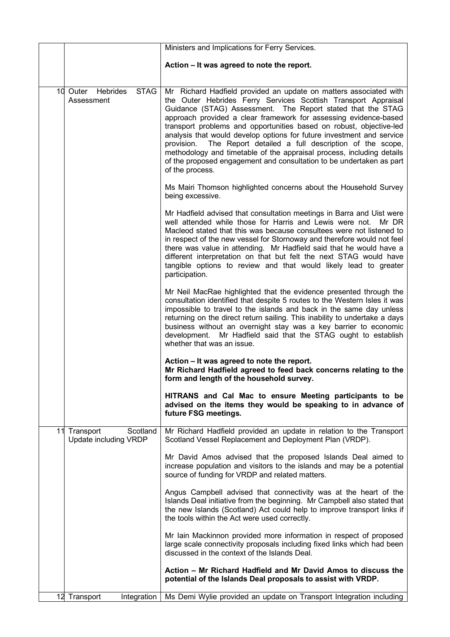|                                                   | Ministers and Implications for Ferry Services.                                                                                                                                                                                                                                                                                                                                                                                                                                                                                                                                                                                                                   |
|---------------------------------------------------|------------------------------------------------------------------------------------------------------------------------------------------------------------------------------------------------------------------------------------------------------------------------------------------------------------------------------------------------------------------------------------------------------------------------------------------------------------------------------------------------------------------------------------------------------------------------------------------------------------------------------------------------------------------|
|                                                   | Action - It was agreed to note the report.                                                                                                                                                                                                                                                                                                                                                                                                                                                                                                                                                                                                                       |
| <b>STAG</b><br>10 Outer<br>Hebrides<br>Assessment | Mr Richard Hadfield provided an update on matters associated with<br>the Outer Hebrides Ferry Services Scottish Transport Appraisal<br>Guidance (STAG) Assessment. The Report stated that the STAG<br>approach provided a clear framework for assessing evidence-based<br>transport problems and opportunities based on robust, objective-led<br>analysis that would develop options for future investment and service<br>The Report detailed a full description of the scope,<br>provision.<br>methodology and timetable of the appraisal process, including details<br>of the proposed engagement and consultation to be undertaken as part<br>of the process. |
|                                                   | Ms Mairi Thomson highlighted concerns about the Household Survey<br>being excessive.                                                                                                                                                                                                                                                                                                                                                                                                                                                                                                                                                                             |
|                                                   | Mr Hadfield advised that consultation meetings in Barra and Uist were<br>well attended while those for Harris and Lewis were not.<br>Mr DR<br>Macleod stated that this was because consultees were not listened to<br>in respect of the new vessel for Stornoway and therefore would not feel<br>there was value in attending. Mr Hadfield said that he would have a<br>different interpretation on that but felt the next STAG would have<br>tangible options to review and that would likely lead to greater<br>participation.                                                                                                                                 |
|                                                   | Mr Neil MacRae highlighted that the evidence presented through the<br>consultation identified that despite 5 routes to the Western Isles it was<br>impossible to travel to the islands and back in the same day unless<br>returning on the direct return sailing. This inability to undertake a days<br>business without an overnight stay was a key barrier to economic<br>development. Mr Hadfield said that the STAG ought to establish<br>whether that was an issue.                                                                                                                                                                                         |
|                                                   | Action – It was agreed to note the report.<br>Mr Richard Hadfield agreed to feed back concerns relating to the<br>form and length of the household survey.                                                                                                                                                                                                                                                                                                                                                                                                                                                                                                       |
|                                                   | HITRANS and Cal Mac to ensure Meeting participants to be<br>advised on the items they would be speaking to in advance of<br>future FSG meetings.                                                                                                                                                                                                                                                                                                                                                                                                                                                                                                                 |
| Scotland<br>11 Transport<br>Update including VRDP | Mr Richard Hadfield provided an update in relation to the Transport<br>Scotland Vessel Replacement and Deployment Plan (VRDP).                                                                                                                                                                                                                                                                                                                                                                                                                                                                                                                                   |
|                                                   | Mr David Amos advised that the proposed Islands Deal aimed to<br>increase population and visitors to the islands and may be a potential<br>source of funding for VRDP and related matters.                                                                                                                                                                                                                                                                                                                                                                                                                                                                       |
|                                                   | Angus Campbell advised that connectivity was at the heart of the<br>Islands Deal initiative from the beginning. Mr Campbell also stated that<br>the new Islands (Scotland) Act could help to improve transport links if<br>the tools within the Act were used correctly.                                                                                                                                                                                                                                                                                                                                                                                         |
|                                                   | Mr Iain Mackinnon provided more information in respect of proposed<br>large scale connectivity proposals including fixed links which had been<br>discussed in the context of the Islands Deal.                                                                                                                                                                                                                                                                                                                                                                                                                                                                   |
|                                                   | Action – Mr Richard Hadfield and Mr David Amos to discuss the<br>potential of the Islands Deal proposals to assist with VRDP.                                                                                                                                                                                                                                                                                                                                                                                                                                                                                                                                    |
| 12 Transport<br>Integration                       | Ms Demi Wylie provided an update on Transport Integration including                                                                                                                                                                                                                                                                                                                                                                                                                                                                                                                                                                                              |